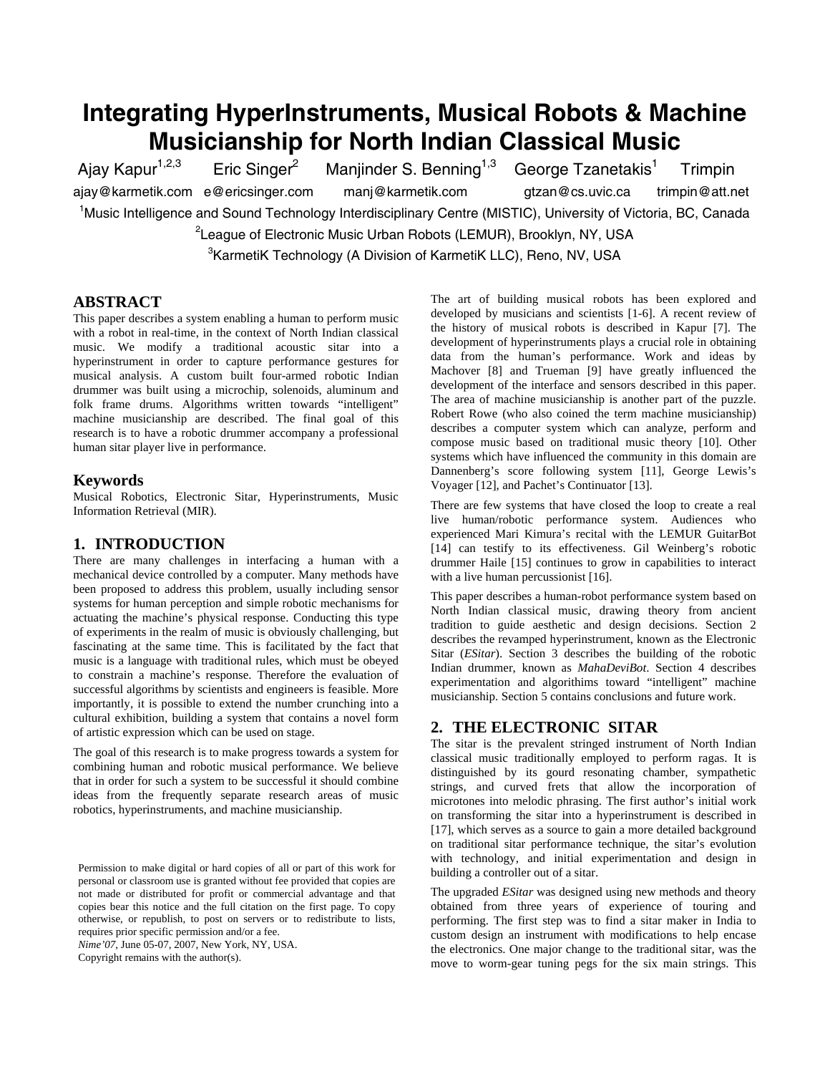# **Integrating HyperInstruments, Musical Robots & Machine Musicianship for North Indian Classical Music**

Ajay Kapur<sup>1,2,3</sup> Eric Singer<sup>2</sup> Manjinder S. Benning<sup>1,3</sup> George Tzanetakis<sup>1</sup> Trimpin ajay@karmetik.com e@ericsinger.com manj@karmetik.com gtzan@cs.uvic.ca trimpin@att.net <sup>1</sup>Music Intelligence and Sound Technology Interdisciplinary Centre (MISTIC), University of Victoria, BC, Canada <sup>2</sup>League of Electronic Music Urban Robots (LEMUR), Brooklyn, NY, USA

<sup>3</sup>KarmetiK Technology (A Division of KarmetiK LLC), Reno, NV, USA

# **ABSTRACT**

This paper describes a system enabling a human to perform music with a robot in real-time, in the context of North Indian classical music. We modify a traditional acoustic sitar into a hyperinstrument in order to capture performance gestures for musical analysis. A custom built four-armed robotic Indian drummer was built using a microchip, solenoids, aluminum and folk frame drums. Algorithms written towards "intelligent" machine musicianship are described. The final goal of this research is to have a robotic drummer accompany a professional human sitar player live in performance.

# **Keywords**

Musical Robotics, Electronic Sitar, Hyperinstruments, Music Information Retrieval (MIR).

# **1. INTRODUCTION**

There are many challenges in interfacing a human with a mechanical device controlled by a computer. Many methods have been proposed to address this problem, usually including sensor systems for human perception and simple robotic mechanisms for actuating the machine's physical response. Conducting this type of experiments in the realm of music is obviously challenging, but fascinating at the same time. This is facilitated by the fact that music is a language with traditional rules, which must be obeyed to constrain a machine's response. Therefore the evaluation of successful algorithms by scientists and engineers is feasible. More importantly, it is possible to extend the number crunching into a cultural exhibition, building a system that contains a novel form of artistic expression which can be used on stage.

The goal of this research is to make progress towards a system for combining human and robotic musical performance. We believe that in order for such a system to be successful it should combine ideas from the frequently separate research areas of music robotics, hyperinstruments, and machine musicianship.

*Nime'07*, June 05-07, 2007, New York, NY, USA.

Copyright remains with the author(s).

The art of building musical robots has been explored and developed by musicians and scientists [1-6]. A recent review of the history of musical robots is described in Kapur [7]. The development of hyperinstruments plays a crucial role in obtaining data from the human's performance. Work and ideas by Machover [8] and Trueman [9] have greatly influenced the development of the interface and sensors described in this paper. The area of machine musicianship is another part of the puzzle. Robert Rowe (who also coined the term machine musicianship) describes a computer system which can analyze, perform and compose music based on traditional music theory [10]. Other systems which have influenced the community in this domain are Dannenberg's score following system [11], George Lewis's Voyager [12], and Pachet's Continuator [13].

There are few systems that have closed the loop to create a real live human/robotic performance system. Audiences who experienced Mari Kimura's recital with the LEMUR GuitarBot [14] can testify to its effectiveness. Gil Weinberg's robotic drummer Haile [15] continues to grow in capabilities to interact with a live human percussionist [16].

This paper describes a human-robot performance system based on North Indian classical music, drawing theory from ancient tradition to guide aesthetic and design decisions. Section 2 describes the revamped hyperinstrument, known as the Electronic Sitar (*ESitar*). Section 3 describes the building of the robotic Indian drummer, known as *MahaDeviBot*. Section 4 describes experimentation and algorithims toward "intelligent" machine musicianship. Section 5 contains conclusions and future work.

# **2. THE ELECTRONIC SITAR**

The sitar is the prevalent stringed instrument of North Indian classical music traditionally employed to perform ragas. It is distinguished by its gourd resonating chamber, sympathetic strings, and curved frets that allow the incorporation of microtones into melodic phrasing. The first author's initial work on transforming the sitar into a hyperinstrument is described in [17], which serves as a source to gain a more detailed background on traditional sitar performance technique, the sitar's evolution with technology, and initial experimentation and design in

The upgraded *ESitar* was designed using new methods and theory obtained from three years of experience of touring and performing. The first step was to find a sitar maker in India to custom design an instrument with modifications to help encase the electronics. One major change to the traditional sitar, was the move to worm-gear tuning pegs for the six main strings. This

building a controller out of a sitar. Permission to make digital or hard copies of all or part of this work for personal or classroom use is granted without fee provided that copies are not made or distributed for profit or commercial advantage and that copies bear this notice and the full citation on the first page. To copy otherwise, or republish, to post on servers or to redistribute to lists, requires prior specific permission and/or a fee.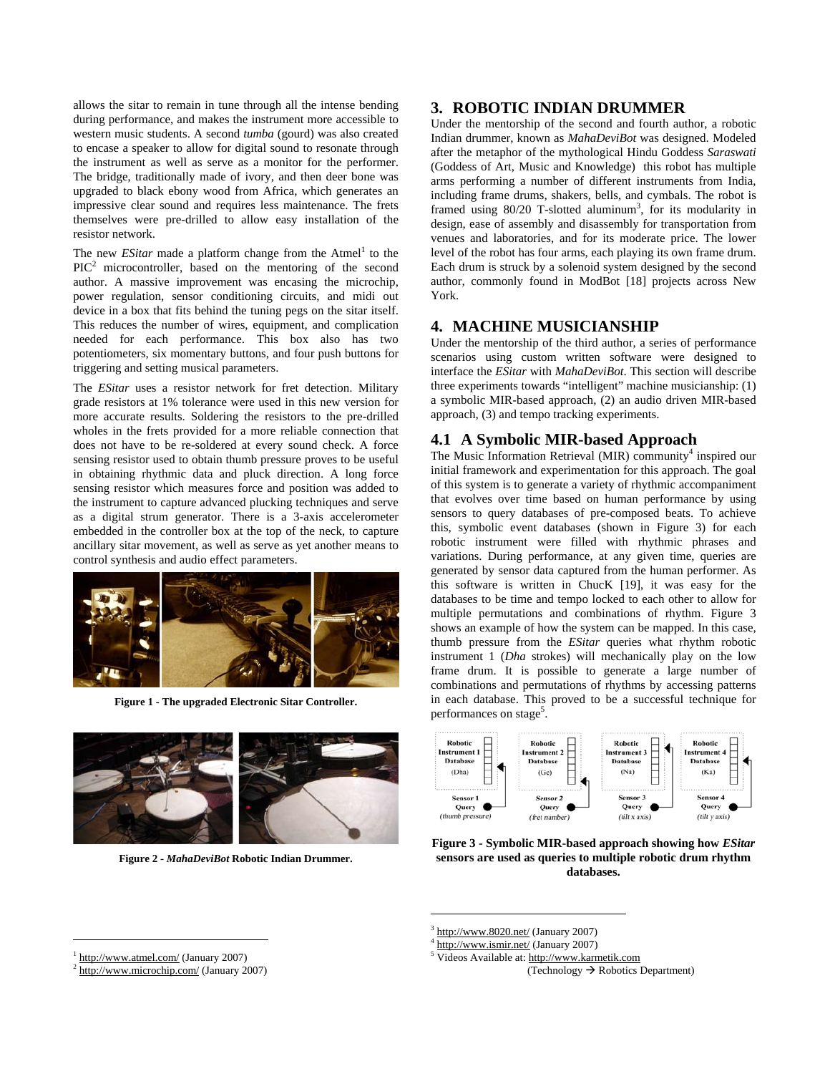allows the sitar to remain in tune through all the intense bending during performance, and makes the instrument more accessible to western music students. A second *tumba* (gourd) was also created to encase a speaker to allow for digital sound to resonate through the instrument as well as serve as a monitor for the performer. The bridge, traditionally made of ivory, and then deer bone was upgraded to black ebony wood from Africa, which generates an impressive clear sound and requires less maintenance. The frets themselves were pre-drilled to allow easy installation of the resistor network.

The new *ESitar* made a platform change from the Atmel<sup>1</sup> to the PIC<sup>2</sup> microcontroller, based on the mentoring of the second author. A massive improvement was encasing the microchip, power regulation, sensor conditioning circuits, and midi out device in a box that fits behind the tuning pegs on the sitar itself. This reduces the number of wires, equipment, and complication needed for each performance. This box also has two potentiometers, six momentary buttons, and four push buttons for triggering and setting musical parameters.

The *ESitar* uses a resistor network for fret detection. Military grade resistors at 1% tolerance were used in this new version for more accurate results. Soldering the resistors to the pre-drilled wholes in the frets provided for a more reliable connection that does not have to be re-soldered at every sound check. A force sensing resistor used to obtain thumb pressure proves to be useful in obtaining rhythmic data and pluck direction. A long force sensing resistor which measures force and position was added to the instrument to capture advanced plucking techniques and serve as a digital strum generator. There is a 3-axis accelerometer embedded in the controller box at the top of the neck, to capture ancillary sitar movement, as well as serve as yet another means to control synthesis and audio effect parameters.



**Figure 1 - The upgraded Electronic Sitar Controller.** 



**Figure 2 -** *MahaDeviBot* **Robotic Indian Drummer.** 

# **3. ROBOTIC INDIAN DRUMMER**

Under the mentorship of the second and fourth author, a robotic Indian drummer, known as *MahaDeviBot* was designed. Modeled after the metaphor of the mythological Hindu Goddess *Saraswati*  (Goddess of Art, Music and Knowledge) this robot has multiple arms performing a number of different instruments from India, including frame drums, shakers, bells, and cymbals. The robot is framed using  $80/20$  T-slotted aluminum<sup>3</sup>, for its modularity in design, ease of assembly and disassembly for transportation from venues and laboratories, and for its moderate price. The lower level of the robot has four arms, each playing its own frame drum. Each drum is struck by a solenoid system designed by the second author, commonly found in ModBot [18] projects across New York.

#### **4. MACHINE MUSICIANSHIP**

Under the mentorship of the third author, a series of performance scenarios using custom written software were designed to interface the *ESitar* with *MahaDeviBot*. This section will describe three experiments towards "intelligent" machine musicianship: (1) a symbolic MIR-based approach, (2) an audio driven MIR-based approach, (3) and tempo tracking experiments.

#### **4.1 A Symbolic MIR-based Approach**

The Music Information Retrieval (MIR) community<sup>4</sup> inspired our initial framework and experimentation for this approach. The goal of this system is to generate a variety of rhythmic accompaniment that evolves over time based on human performance by using sensors to query databases of pre-composed beats. To achieve this, symbolic event databases (shown in Figure 3) for each robotic instrument were filled with rhythmic phrases and variations. During performance, at any given time, queries are generated by sensor data captured from the human performer. As this software is written in ChucK [19], it was easy for the databases to be time and tempo locked to each other to allow for multiple permutations and combinations of rhythm. Figure 3 shows an example of how the system can be mapped. In this case, thumb pressure from the *ESitar* queries what rhythm robotic instrument 1 (*Dha* strokes) will mechanically play on the low frame drum. It is possible to generate a large number of combinations and permutations of rhythms by accessing patterns in each database. This proved to be a successful technique for performances on stage<sup>5</sup>.



**Figure 3 - Symbolic MIR-based approach showing how** *ESitar* **sensors are used as queries to multiple robotic drum rhythm databases.**

<sup>3</sup> http://www.8020.net/ (January 2007)

1

l

http://www.ismir.net/ (January 2007)

<sup>5</sup> Videos Available at: http://www.karmetik.com (Technology  $\rightarrow$  Robotics Department)

http://www.atmel.com/ (January 2007)

<sup>2</sup> http://www.microchip.com/ (January 2007)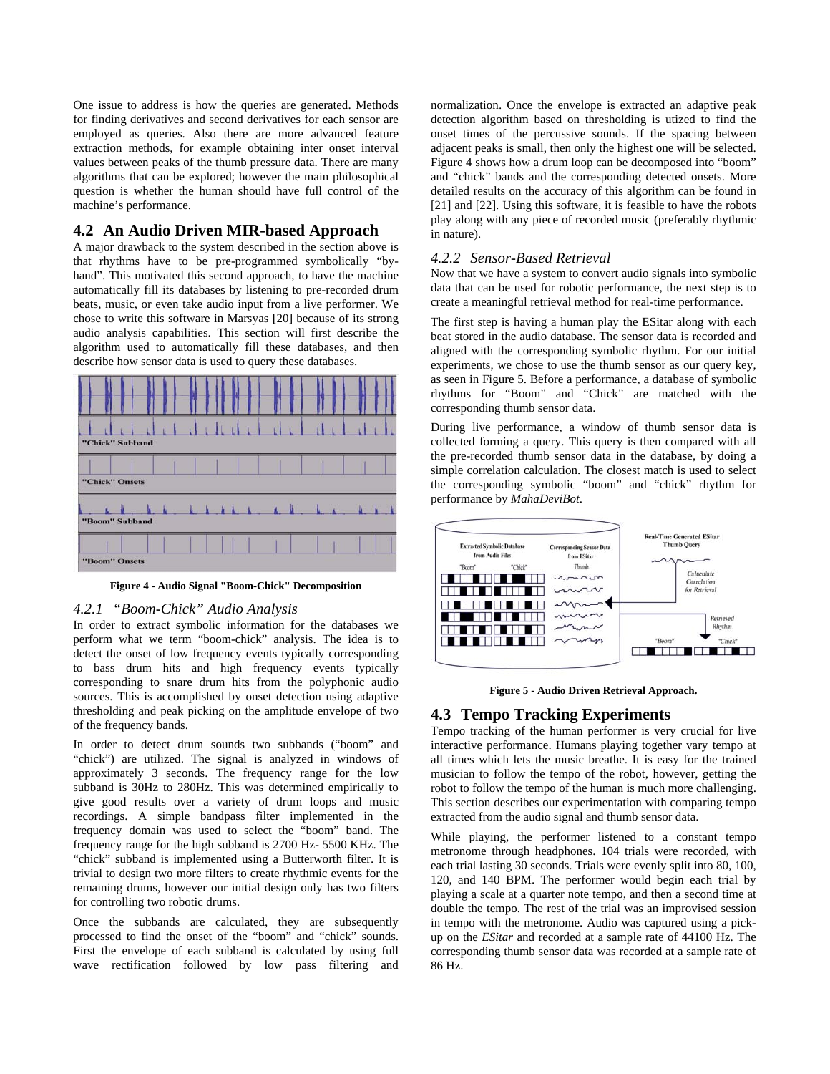One issue to address is how the queries are generated. Methods for finding derivatives and second derivatives for each sensor are employed as queries. Also there are more advanced feature extraction methods, for example obtaining inter onset interval values between peaks of the thumb pressure data. There are many algorithms that can be explored; however the main philosophical question is whether the human should have full control of the machine's performance.

## **4.2 An Audio Driven MIR-based Approach**

A major drawback to the system described in the section above is that rhythms have to be pre-programmed symbolically "byhand". This motivated this second approach, to have the machine automatically fill its databases by listening to pre-recorded drum beats, music, or even take audio input from a live performer. We chose to write this software in Marsyas [20] because of its strong audio analysis capabilities. This section will first describe the algorithm used to automatically fill these databases, and then describe how sensor data is used to query these databases.



**Figure 4 - Audio Signal "Boom-Chick" Decomposition** 

#### *4.2.1 "Boom-Chick" Audio Analysis*

In order to extract symbolic information for the databases we perform what we term "boom-chick" analysis. The idea is to detect the onset of low frequency events typically corresponding to bass drum hits and high frequency events typically corresponding to snare drum hits from the polyphonic audio sources. This is accomplished by onset detection using adaptive thresholding and peak picking on the amplitude envelope of two of the frequency bands.

In order to detect drum sounds two subbands ("boom" and "chick") are utilized. The signal is analyzed in windows of approximately 3 seconds. The frequency range for the low subband is 30Hz to 280Hz. This was determined empirically to give good results over a variety of drum loops and music recordings. A simple bandpass filter implemented in the frequency domain was used to select the "boom" band. The frequency range for the high subband is 2700 Hz- 5500 KHz. The "chick" subband is implemented using a Butterworth filter. It is trivial to design two more filters to create rhythmic events for the remaining drums, however our initial design only has two filters for controlling two robotic drums.

Once the subbands are calculated, they are subsequently processed to find the onset of the "boom" and "chick" sounds. First the envelope of each subband is calculated by using full wave rectification followed by low pass filtering and normalization. Once the envelope is extracted an adaptive peak detection algorithm based on thresholding is utized to find the onset times of the percussive sounds. If the spacing between adjacent peaks is small, then only the highest one will be selected. Figure 4 shows how a drum loop can be decomposed into "boom" and "chick" bands and the corresponding detected onsets. More detailed results on the accuracy of this algorithm can be found in [21] and [22]. Using this software, it is feasible to have the robots play along with any piece of recorded music (preferably rhythmic in nature).

#### *4.2.2 Sensor-Based Retrieval*

Now that we have a system to convert audio signals into symbolic data that can be used for robotic performance, the next step is to create a meaningful retrieval method for real-time performance.

The first step is having a human play the ESitar along with each beat stored in the audio database. The sensor data is recorded and aligned with the corresponding symbolic rhythm. For our initial experiments, we chose to use the thumb sensor as our query key, as seen in Figure 5. Before a performance, a database of symbolic rhythms for "Boom" and "Chick" are matched with the corresponding thumb sensor data.

During live performance, a window of thumb sensor data is collected forming a query. This query is then compared with all the pre-recorded thumb sensor data in the database, by doing a simple correlation calculation. The closest match is used to select the corresponding symbolic "boom" and "chick" rhythm for performance by *MahaDeviBot*.



**Figure 5 - Audio Driven Retrieval Approach.**

## **4.3 Tempo Tracking Experiments**

Tempo tracking of the human performer is very crucial for live interactive performance. Humans playing together vary tempo at all times which lets the music breathe. It is easy for the trained musician to follow the tempo of the robot, however, getting the robot to follow the tempo of the human is much more challenging. This section describes our experimentation with comparing tempo extracted from the audio signal and thumb sensor data.

While playing, the performer listened to a constant tempo metronome through headphones. 104 trials were recorded, with each trial lasting 30 seconds. Trials were evenly split into 80, 100, 120, and 140 BPM. The performer would begin each trial by playing a scale at a quarter note tempo, and then a second time at double the tempo. The rest of the trial was an improvised session in tempo with the metronome. Audio was captured using a pickup on the *ESitar* and recorded at a sample rate of 44100 Hz. The corresponding thumb sensor data was recorded at a sample rate of 86 Hz.